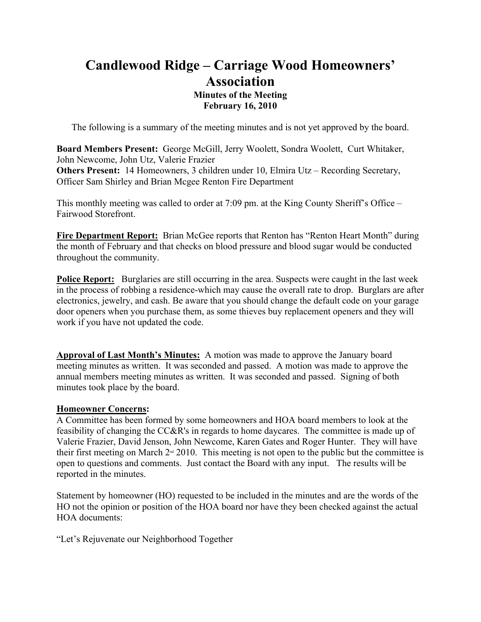# **Candlewood Ridge – Carriage Wood Homeowners' Association Minutes of the Meeting February 16, 2010**

The following is a summary of the meeting minutes and is not yet approved by the board.

**Board Members Present:** George McGill, Jerry Woolett, Sondra Woolett, Curt Whitaker, John Newcome, John Utz, Valerie Frazier **Others Present:** 14 Homeowners, 3 children under 10, Elmira Utz – Recording Secretary, Officer Sam Shirley and Brian Mcgee Renton Fire Department

This monthly meeting was called to order at 7:09 pm. at the King County Sheriff's Office – Fairwood Storefront.

**Fire Department Report:** Brian McGee reports that Renton has "Renton Heart Month" during the month of February and that checks on blood pressure and blood sugar would be conducted throughout the community.

**Police Report:** Burglaries are still occurring in the area. Suspects were caught in the last week in the process of robbing a residence-which may cause the overall rate to drop. Burglars are after electronics, jewelry, and cash. Be aware that you should change the default code on your garage door openers when you purchase them, as some thieves buy replacement openers and they will work if you have not updated the code.

**Approval of Last Month's Minutes:** A motion was made to approve the January board meeting minutes as written. It was seconded and passed. A motion was made to approve the annual members meeting minutes as written. It was seconded and passed. Signing of both minutes took place by the board.

#### **Homeowner Concerns:**

A Committee has been formed by some homeowners and HOA board members to look at the feasibility of changing the CC&R's in regards to home daycares. The committee is made up of Valerie Frazier, David Jenson, John Newcome, Karen Gates and Roger Hunter. They will have their first meeting on March  $2<sup>nd</sup>$  2010. This meeting is not open to the public but the committee is open to questions and comments. Just contact the Board with any input. The results will be reported in the minutes.

Statement by homeowner (HO) requested to be included in the minutes and are the words of the HO not the opinion or position of the HOA board nor have they been checked against the actual HOA documents:

"Let's Rejuvenate our Neighborhood Together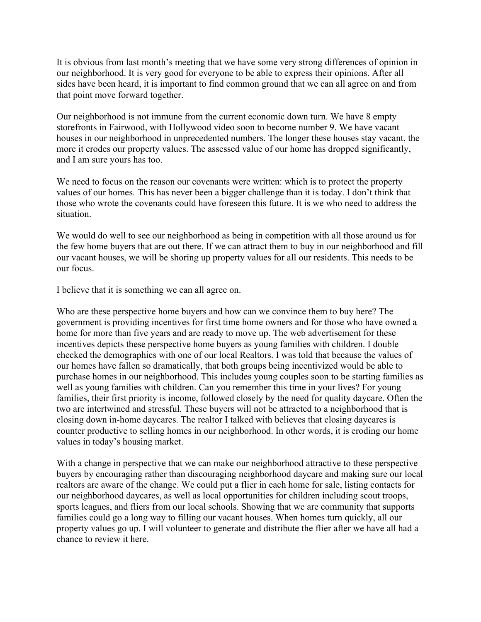It is obvious from last month's meeting that we have some very strong differences of opinion in our neighborhood. It is very good for everyone to be able to express their opinions. After all sides have been heard, it is important to find common ground that we can all agree on and from that point move forward together.

Our neighborhood is not immune from the current economic down turn. We have 8 empty storefronts in Fairwood, with Hollywood video soon to become number 9. We have vacant houses in our neighborhood in unprecedented numbers. The longer these houses stay vacant, the more it erodes our property values. The assessed value of our home has dropped significantly, and I am sure yours has too.

We need to focus on the reason our covenants were written: which is to protect the property values of our homes. This has never been a bigger challenge than it is today. I don't think that those who wrote the covenants could have foreseen this future. It is we who need to address the situation.

We would do well to see our neighborhood as being in competition with all those around us for the few home buyers that are out there. If we can attract them to buy in our neighborhood and fill our vacant houses, we will be shoring up property values for all our residents. This needs to be our focus.

I believe that it is something we can all agree on.

Who are these perspective home buyers and how can we convince them to buy here? The government is providing incentives for first time home owners and for those who have owned a home for more than five years and are ready to move up. The web advertisement for these incentives depicts these perspective home buyers as young families with children. I double checked the demographics with one of our local Realtors. I was told that because the values of our homes have fallen so dramatically, that both groups being incentivized would be able to purchase homes in our neighborhood. This includes young couples soon to be starting families as well as young families with children. Can you remember this time in your lives? For young families, their first priority is income, followed closely by the need for quality daycare. Often the two are intertwined and stressful. These buyers will not be attracted to a neighborhood that is closing down in-home daycares. The realtor I talked with believes that closing daycares is counter productive to selling homes in our neighborhood. In other words, it is eroding our home values in today's housing market.

With a change in perspective that we can make our neighborhood attractive to these perspective buyers by encouraging rather than discouraging neighborhood daycare and making sure our local realtors are aware of the change. We could put a flier in each home for sale, listing contacts for our neighborhood daycares, as well as local opportunities for children including scout troops, sports leagues, and fliers from our local schools. Showing that we are community that supports families could go a long way to filling our vacant houses. When homes turn quickly, all our property values go up. I will volunteer to generate and distribute the flier after we have all had a chance to review it here.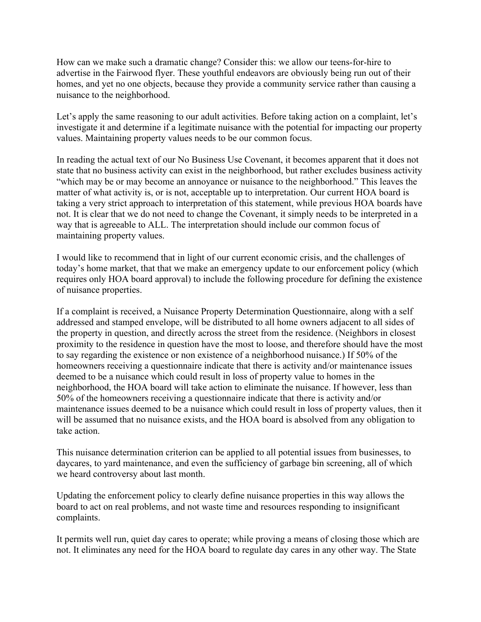How can we make such a dramatic change? Consider this: we allow our teens-for-hire to advertise in the Fairwood flyer. These youthful endeavors are obviously being run out of their homes, and yet no one objects, because they provide a community service rather than causing a nuisance to the neighborhood.

Let's apply the same reasoning to our adult activities. Before taking action on a complaint, let's investigate it and determine if a legitimate nuisance with the potential for impacting our property values. Maintaining property values needs to be our common focus.

In reading the actual text of our No Business Use Covenant, it becomes apparent that it does not state that no business activity can exist in the neighborhood, but rather excludes business activity "which may be or may become an annoyance or nuisance to the neighborhood." This leaves the matter of what activity is, or is not, acceptable up to interpretation. Our current HOA board is taking a very strict approach to interpretation of this statement, while previous HOA boards have not. It is clear that we do not need to change the Covenant, it simply needs to be interpreted in a way that is agreeable to ALL. The interpretation should include our common focus of maintaining property values.

I would like to recommend that in light of our current economic crisis, and the challenges of today's home market, that that we make an emergency update to our enforcement policy (which requires only HOA board approval) to include the following procedure for defining the existence of nuisance properties.

If a complaint is received, a Nuisance Property Determination Questionnaire, along with a self addressed and stamped envelope, will be distributed to all home owners adjacent to all sides of the property in question, and directly across the street from the residence. (Neighbors in closest proximity to the residence in question have the most to loose, and therefore should have the most to say regarding the existence or non existence of a neighborhood nuisance.) If 50% of the homeowners receiving a questionnaire indicate that there is activity and/or maintenance issues deemed to be a nuisance which could result in loss of property value to homes in the neighborhood, the HOA board will take action to eliminate the nuisance. If however, less than 50% of the homeowners receiving a questionnaire indicate that there is activity and/or maintenance issues deemed to be a nuisance which could result in loss of property values, then it will be assumed that no nuisance exists, and the HOA board is absolved from any obligation to take action.

This nuisance determination criterion can be applied to all potential issues from businesses, to daycares, to yard maintenance, and even the sufficiency of garbage bin screening, all of which we heard controversy about last month.

Updating the enforcement policy to clearly define nuisance properties in this way allows the board to act on real problems, and not waste time and resources responding to insignificant complaints.

It permits well run, quiet day cares to operate; while proving a means of closing those which are not. It eliminates any need for the HOA board to regulate day cares in any other way. The State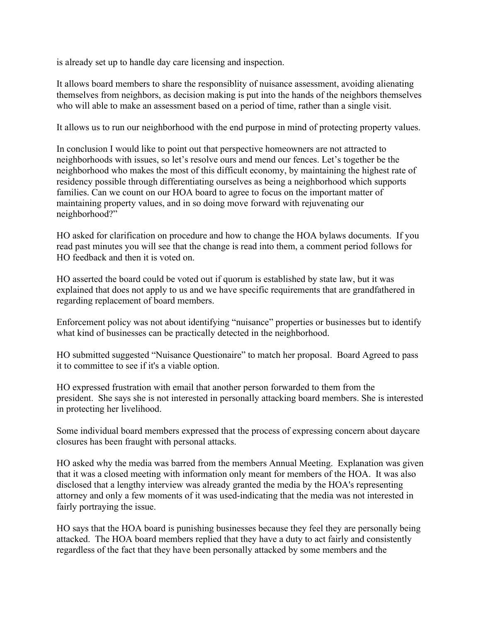is already set up to handle day care licensing and inspection.

It allows board members to share the responsiblity of nuisance assessment, avoiding alienating themselves from neighbors, as decision making is put into the hands of the neighbors themselves who will able to make an assessment based on a period of time, rather than a single visit.

It allows us to run our neighborhood with the end purpose in mind of protecting property values.

In conclusion I would like to point out that perspective homeowners are not attracted to neighborhoods with issues, so let's resolve ours and mend our fences. Let's together be the neighborhood who makes the most of this difficult economy, by maintaining the highest rate of residency possible through differentiating ourselves as being a neighborhood which supports families. Can we count on our HOA board to agree to focus on the important matter of maintaining property values, and in so doing move forward with rejuvenating our neighborhood?"

HO asked for clarification on procedure and how to change the HOA bylaws documents. If you read past minutes you will see that the change is read into them, a comment period follows for HO feedback and then it is voted on.

HO asserted the board could be voted out if quorum is established by state law, but it was explained that does not apply to us and we have specific requirements that are grandfathered in regarding replacement of board members.

Enforcement policy was not about identifying "nuisance" properties or businesses but to identify what kind of businesses can be practically detected in the neighborhood.

HO submitted suggested "Nuisance Questionaire" to match her proposal. Board Agreed to pass it to committee to see if it's a viable option.

HO expressed frustration with email that another person forwarded to them from the president. She says she is not interested in personally attacking board members. She is interested in protecting her livelihood.

Some individual board members expressed that the process of expressing concern about daycare closures has been fraught with personal attacks.

HO asked why the media was barred from the members Annual Meeting. Explanation was given that it was a closed meeting with information only meant for members of the HOA. It was also disclosed that a lengthy interview was already granted the media by the HOA's representing attorney and only a few moments of it was used-indicating that the media was not interested in fairly portraying the issue.

HO says that the HOA board is punishing businesses because they feel they are personally being attacked. The HOA board members replied that they have a duty to act fairly and consistently regardless of the fact that they have been personally attacked by some members and the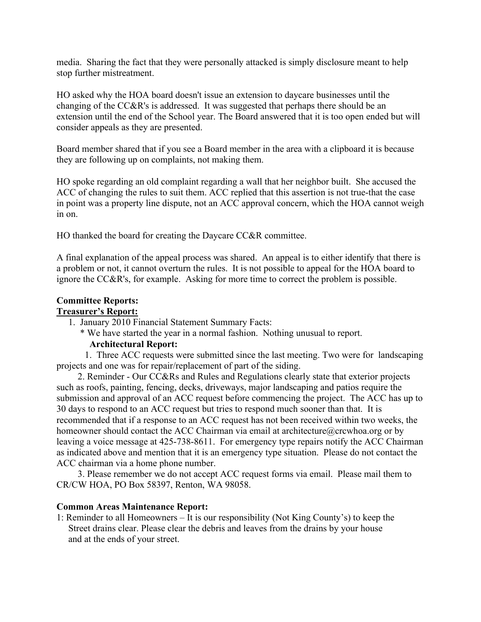media. Sharing the fact that they were personally attacked is simply disclosure meant to help stop further mistreatment.

HO asked why the HOA board doesn't issue an extension to daycare businesses until the changing of the CC&R's is addressed. It was suggested that perhaps there should be an extension until the end of the School year. The Board answered that it is too open ended but will consider appeals as they are presented.

Board member shared that if you see a Board member in the area with a clipboard it is because they are following up on complaints, not making them.

HO spoke regarding an old complaint regarding a wall that her neighbor built. She accused the ACC of changing the rules to suit them. ACC replied that this assertion is not true-that the case in point was a property line dispute, not an ACC approval concern, which the HOA cannot weigh in on.

HO thanked the board for creating the Daycare CC&R committee.

A final explanation of the appeal process was shared. An appeal is to either identify that there is a problem or not, it cannot overturn the rules. It is not possible to appeal for the HOA board to ignore the CC&R's, for example. Asking for more time to correct the problem is possible.

# **Committee Reports:**

# **Treasurer's Report:**

1. January 2010 Financial Statement Summary Facts:

#### \* We have started the year in a normal fashion. Nothing unusual to report.  **Architectural Report:**

 1. Three ACC requests were submitted since the last meeting. Two were for landscaping projects and one was for repair/replacement of part of the siding.

 2. Reminder - Our CC&Rs and Rules and Regulations clearly state that exterior projects such as roofs, painting, fencing, decks, driveways, major landscaping and patios require the submission and approval of an ACC request before commencing the project. The ACC has up to 30 days to respond to an ACC request but tries to respond much sooner than that. It is recommended that if a response to an ACC request has not been received within two weeks, the homeowner should contact the ACC Chairman via email at architecture@crcwhoa.org or by leaving a voice message at 425-738-8611. For emergency type repairs notify the ACC Chairman as indicated above and mention that it is an emergency type situation. Please do not contact the ACC chairman via a home phone number.

 3. Please remember we do not accept ACC request forms via email. Please mail them to CR/CW HOA, PO Box 58397, Renton, WA 98058.

#### **Common Areas Maintenance Report:**

1: Reminder to all Homeowners – It is our responsibility (Not King County's) to keep the Street drains clear. Please clear the debris and leaves from the drains by your house and at the ends of your street.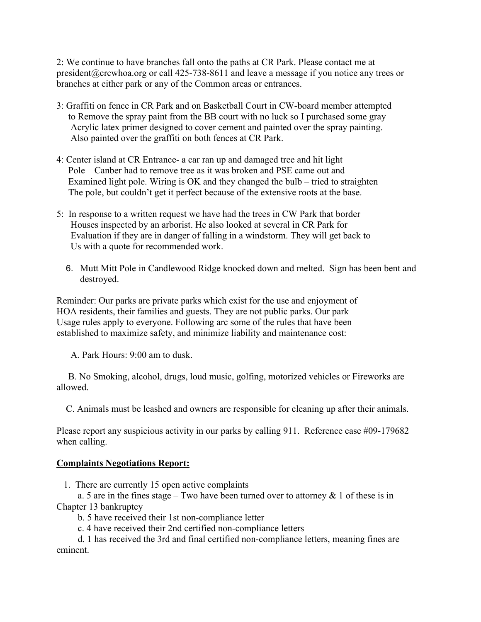2: We continue to have branches fall onto the paths at CR Park. Please contact me at president@crcwhoa.org or call 425-738-8611 and leave a message if you notice any trees or branches at either park or any of the Common areas or entrances.

- 3: Graffiti on fence in CR Park and on Basketball Court in CW-board member attempted to Remove the spray paint from the BB court with no luck so I purchased some gray Acrylic latex primer designed to cover cement and painted over the spray painting. Also painted over the graffiti on both fences at CR Park.
- 4: Center island at CR Entrance- a car ran up and damaged tree and hit light Pole – Canber had to remove tree as it was broken and PSE came out and Examined light pole. Wiring is OK and they changed the bulb – tried to straighten The pole, but couldn't get it perfect because of the extensive roots at the base.
- 5: In response to a written request we have had the trees in CW Park that border Houses inspected by an arborist. He also looked at several in CR Park for Evaluation if they are in danger of falling in a windstorm. They will get back to Us with a quote for recommended work.
	- 6. Mutt Mitt Pole in Candlewood Ridge knocked down and melted. Sign has been bent and destroyed.

Reminder: Our parks are private parks which exist for the use and enjoyment of HOA residents, their families and guests. They are not public parks. Our park Usage rules apply to everyone. Following arc some of the rules that have been established to maximize safety, and minimize liability and maintenance cost:

A. Park Hours: 9:00 am to dusk.

 B. No Smoking, alcohol, drugs, loud music, golfing, motorized vehicles or Fireworks are allowed.

C. Animals must be leashed and owners are responsible for cleaning up after their animals.

Please report any suspicious activity in our parks by calling 911. Reference case #09-179682 when calling.

#### **Complaints Negotiations Report:**

1. There are currently 15 open active complaints

a. 5 are in the fines stage – Two have been turned over to attorney  $\&$  1 of these is in Chapter 13 bankruptcy

b. 5 have received their 1st non-compliance letter

c. 4 have received their 2nd certified non-compliance letters

 d. 1 has received the 3rd and final certified non-compliance letters, meaning fines are eminent.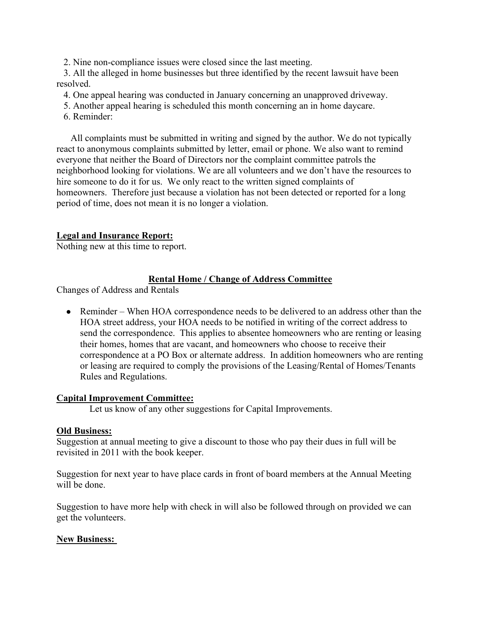2. Nine non-compliance issues were closed since the last meeting.

 3. All the alleged in home businesses but three identified by the recent lawsuit have been resolved.

4. One appeal hearing was conducted in January concerning an unapproved driveway.

- 5. Another appeal hearing is scheduled this month concerning an in home daycare.
- 6. Reminder:

 All complaints must be submitted in writing and signed by the author. We do not typically react to anonymous complaints submitted by letter, email or phone. We also want to remind everyone that neither the Board of Directors nor the complaint committee patrols the neighborhood looking for violations. We are all volunteers and we don't have the resources to hire someone to do it for us. We only react to the written signed complaints of homeowners. Therefore just because a violation has not been detected or reported for a long period of time, does not mean it is no longer a violation.

# **Legal and Insurance Report:**

Nothing new at this time to report.

# **Rental Home / Change of Address Committee**

Changes of Address and Rentals

• Reminder – When HOA correspondence needs to be delivered to an address other than the HOA street address, your HOA needs to be notified in writing of the correct address to send the correspondence. This applies to absentee homeowners who are renting or leasing their homes, homes that are vacant, and homeowners who choose to receive their correspondence at a PO Box or alternate address. In addition homeowners who are renting or leasing are required to comply the provisions of the Leasing/Rental of Homes/Tenants Rules and Regulations.

# **Capital Improvement Committee:**

Let us know of any other suggestions for Capital Improvements.

# **Old Business:**

Suggestion at annual meeting to give a discount to those who pay their dues in full will be revisited in 2011 with the book keeper.

Suggestion for next year to have place cards in front of board members at the Annual Meeting will be done.

Suggestion to have more help with check in will also be followed through on provided we can get the volunteers.

# **New Business:**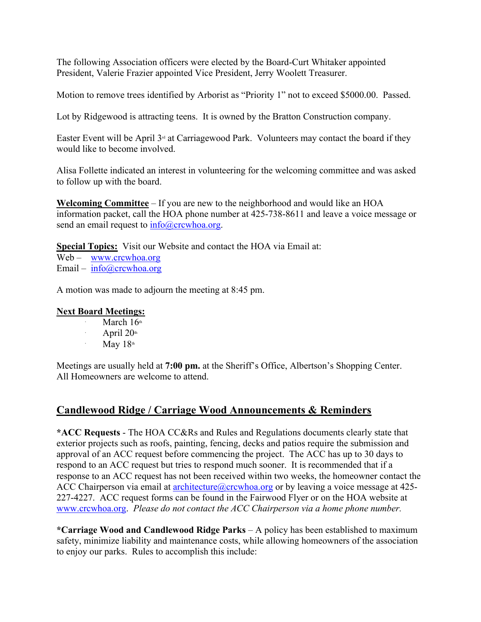The following Association officers were elected by the Board-Curt Whitaker appointed President, Valerie Frazier appointed Vice President, Jerry Woolett Treasurer.

Motion to remove trees identified by Arborist as "Priority 1" not to exceed \$5000.00. Passed.

Lot by Ridgewood is attracting teens. It is owned by the Bratton Construction company.

Easter Event will be April 3<sup>rd</sup> at Carriagewood Park. Volunteers may contact the board if they would like to become involved.

Alisa Follette indicated an interest in volunteering for the welcoming committee and was asked to follow up with the board.

**Welcoming Committee** – If you are new to the neighborhood and would like an HOA information packet, call the HOA phone number at 425-738-8611 and leave a voice message or send an email request to  $info@crcwhoa.org$ .

**Special Topics:** Visit our Website and contact the HOA via Email at: Web – www.crcwhoa.org Email –  $info@crcwhoa.org$ 

A motion was made to adjourn the meeting at 8:45 pm.

#### **Next Board Meetings:**

∙

∙

- March  $16<sup>th</sup>$
- April  $20<sup>th</sup>$
- ∙ May  $18<sup>th</sup>$

Meetings are usually held at **7:00 pm.** at the Sheriff's Office, Albertson's Shopping Center. All Homeowners are welcome to attend.

# **Candlewood Ridge / Carriage Wood Announcements & Reminders**

**\*ACC Requests** - The HOA CC&Rs and Rules and Regulations documents clearly state that exterior projects such as roofs, painting, fencing, decks and patios require the submission and approval of an ACC request before commencing the project. The ACC has up to 30 days to respond to an ACC request but tries to respond much sooner. It is recommended that if a response to an ACC request has not been received within two weeks, the homeowner contact the ACC Chairperson via email at architecture  $@crcwhoa.org$  or by leaving a voice message at 425-227-4227. ACC request forms can be found in the Fairwood Flyer or on the HOA website at www.crcwhoa.org. *Please do not contact the ACC Chairperson via a home phone number.*

**\*Carriage Wood and Candlewood Ridge Parks** – A policy has been established to maximum safety, minimize liability and maintenance costs, while allowing homeowners of the association to enjoy our parks. Rules to accomplish this include: